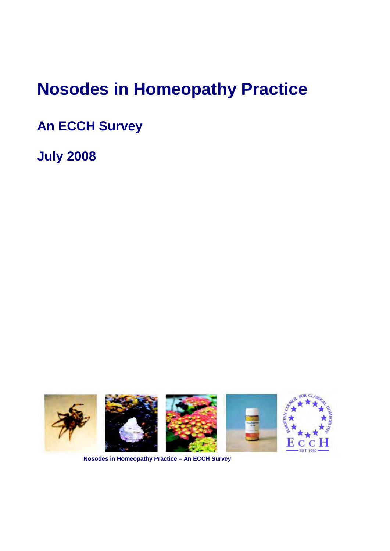# **Nosodes in Homeopathy Practice**

**An ECCH Survey** 

**July 2008** 



**Nosodes in Homeopathy Practice – An ECCH Survey**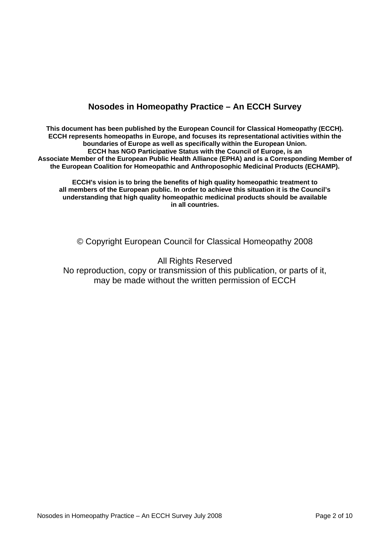# **Nosodes in Homeopathy Practice – An ECCH Survey**

**This document has been published by the European Council for Classical Homeopathy (ECCH). ECCH represents homeopaths in Europe, and focuses its representational activities within the boundaries of Europe as well as specifically within the European Union. ECCH has NGO Participative Status with the Council of Europe, is an Associate Member of the European Public Health Alliance (EPHA) and is a Corresponding Member of the European Coalition for Homeopathic and Anthroposophic Medicinal Products (ECHAMP).** 

**ECCH's vision is to bring the benefits of high quality homeopathic treatment to all members of the European public. In order to achieve this situation it is the Council's understanding that high quality homeopathic medicinal products should be available in all countries.**

© Copyright European Council for Classical Homeopathy 2008

All Rights Reserved

No reproduction, copy or transmission of this publication, or parts of it, may be made without the written permission of ECCH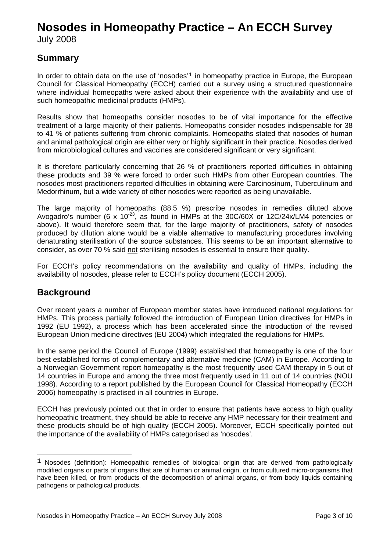# **Nosodes in Homeopathy Practice – An ECCH Survey**

July 2008

# **Summary**

In order to obtain data on the use of 'nosodes'<sup>[1](#page-2-0)</sup> in homeopathy practice in Europe, the European Council for Classical Homeopathy (ECCH) carried out a survey using a structured questionnaire where individual homeopaths were asked about their experience with the availability and use of such homeopathic medicinal products (HMPs).

Results show that homeopaths consider nosodes to be of vital importance for the effective treatment of a large majority of their patients. Homeopaths consider nosodes indispensable for 38 to 41 % of patients suffering from chronic complaints. Homeopaths stated that nosodes of human and animal pathological origin are either very or highly significant in their practice. Nosodes derived from microbiological cultures and vaccines are considered significant or very significant.

It is therefore particularly concerning that 26 % of practitioners reported difficulties in obtaining these products and 39 % were forced to order such HMPs from other European countries. The nosodes most practitioners reported difficulties in obtaining were Carcinosinum, Tuberculinum and Medorrhinum, but a wide variety of other nosodes were reported as being unavailable.

The large majority of homeopaths (88.5 %) prescribe nosodes in remedies diluted above Avogadro's number (6 x 10 $^{23}$ , as found in HMPs at the 30C/60X or 12C/24x/LM4 potencies or above). It would therefore seem that, for the large majority of practitioners, safety of nosodes produced by dilution alone would be a viable alternative to manufacturing procedures involving denaturating sterilisation of the source substances. This seems to be an important alternative to consider, as over 70 % said not sterilising nosodes is essential to ensure their quality.

For ECCH's policy recommendations on the availability and quality of HMPs, including the availability of nosodes, please refer to ECCH's policy document (ECCH 2005).

# **Background**

Over recent years a number of European member states have introduced national regulations for HMPs. This process partially followed the introduction of European Union directives for HMPs in 1992 (EU 1992), a process which has been accelerated since the introduction of the revised European Union medicine directives (EU 2004) which integrated the regulations for HMPs.

In the same period the Council of Europe (1999) established that homeopathy is one of the four best established forms of complementary and alternative medicine (CAM) in Europe. According to a Norwegian Government report homeopathy is the most frequently used CAM therapy in 5 out of 14 countries in Europe and among the three most frequently used in 11 out of 14 countries (NOU 1998). According to a report published by the European Council for Classical Homeopathy (ECCH 2006) homeopathy is practised in all countries in Europe.

ECCH has previously pointed out that in order to ensure that patients have access to high quality homeopathic treatment, they should be able to receive any HMP necessary for their treatment and these products should be of high quality (ECCH 2005). Moreover, ECCH specifically pointed out the importance of the availability of HMPs categorised as 'nosodes'.

<span id="page-2-0"></span> $1$  Nosodes (definition): Homeopathic remedies of biological origin that are derived from pathologically modified organs or parts of organs that are of human or animal origin, or from cultured micro-organisms that have been killed, or from products of the decomposition of animal organs, or from body liquids containing pathogens or pathological products.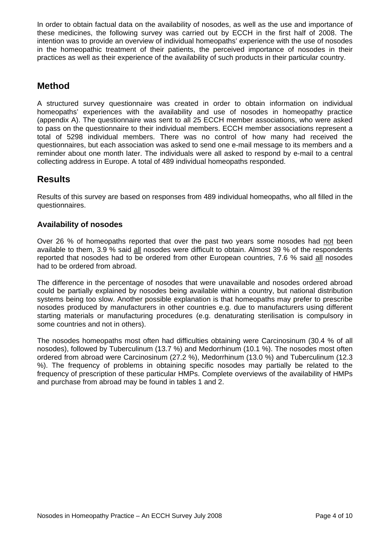In order to obtain factual data on the availability of nosodes, as well as the use and importance of these medicines, the following survey was carried out by ECCH in the first half of 2008. The intention was to provide an overview of individual homeopaths' experience with the use of nosodes in the homeopathic treatment of their patients, the perceived importance of nosodes in their practices as well as their experience of the availability of such products in their particular country.

# **Method**

A structured survey questionnaire was created in order to obtain information on individual homeopaths' experiences with the availability and use of nosodes in homeopathy practice (appendix A). The questionnaire was sent to all 25 ECCH member associations, who were asked to pass on the questionnaire to their individual members. ECCH member associations represent a total of 5298 individual members. There was no control of how many had received the questionnaires, but each association was asked to send one e-mail message to its members and a reminder about one month later. The individuals were all asked to respond by e-mail to a central collecting address in Europe. A total of 489 individual homeopaths responded.

# **Results**

Results of this survey are based on responses from 489 individual homeopaths, who all filled in the questionnaires.

## **Availability of nosodes**

Over 26 % of homeopaths reported that over the past two years some nosodes had not been available to them, 3.9 % said all nosodes were difficult to obtain. Almost 39 % of the respondents reported that nosodes had to be ordered from other European countries, 7.6 % said all nosodes had to be ordered from abroad.

The difference in the percentage of nosodes that were unavailable and nosodes ordered abroad could be partially explained by nosodes being available within a country, but national distribution systems being too slow. Another possible explanation is that homeopaths may prefer to prescribe nosodes produced by manufacturers in other countries e.g. due to manufacturers using different starting materials or manufacturing procedures (e.g. denaturating sterilisation is compulsory in some countries and not in others).

The nosodes homeopaths most often had difficulties obtaining were Carcinosinum (30.4 % of all nosodes), followed by Tuberculinum (13.7 %) and Medorrhinum (10.1 %). The nosodes most often ordered from abroad were Carcinosinum (27.2 %), Medorrhinum (13.0 %) and Tuberculinum (12.3 %). The frequency of problems in obtaining specific nosodes may partially be related to the frequency of prescription of these particular HMPs. Complete overviews of the availability of HMPs and purchase from abroad may be found in tables 1 and 2.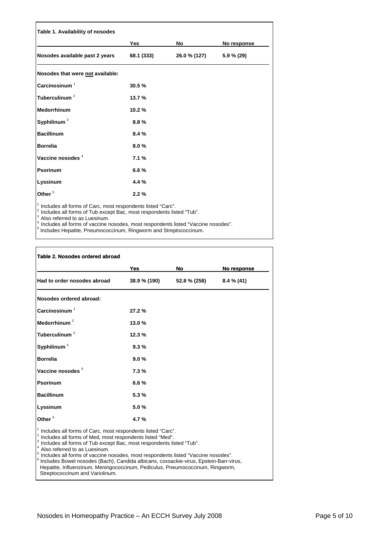| Table 1. Availability of nosodes                                                                                                                                                                                                                                                                                                               |            |              |               |
|------------------------------------------------------------------------------------------------------------------------------------------------------------------------------------------------------------------------------------------------------------------------------------------------------------------------------------------------|------------|--------------|---------------|
|                                                                                                                                                                                                                                                                                                                                                | Yes        | No           | No response   |
| Nosodes available past 2 years                                                                                                                                                                                                                                                                                                                 | 68.1 (333) | 26.0 % (127) | $5.9 \% (29)$ |
| Nosodes that were not available:                                                                                                                                                                                                                                                                                                               |            |              |               |
| $\mathsf{Carc}$ inosinum $^1$                                                                                                                                                                                                                                                                                                                  | 30.5%      |              |               |
| Tuberculinum <sup>2</sup>                                                                                                                                                                                                                                                                                                                      | 13.7 %     |              |               |
| Medorrhinum                                                                                                                                                                                                                                                                                                                                    | 10.2%      |              |               |
| Syphilinum <sup>3</sup>                                                                                                                                                                                                                                                                                                                        | 8.8%       |              |               |
| <b>Bacillinum</b>                                                                                                                                                                                                                                                                                                                              | 8.4%       |              |               |
| <b>Borrelia</b>                                                                                                                                                                                                                                                                                                                                | 8.0%       |              |               |
| Vaccine nosodes <sup>4</sup>                                                                                                                                                                                                                                                                                                                   | 7.1%       |              |               |
| <b>Psorinum</b>                                                                                                                                                                                                                                                                                                                                | 6.6%       |              |               |
| Lyssinum                                                                                                                                                                                                                                                                                                                                       | 4.4 %      |              |               |
| Other <sup>5</sup>                                                                                                                                                                                                                                                                                                                             | 2.2%       |              |               |
| Includes all forms of Carc, most respondents listed "Carc".<br>Includes all forms of Tub except Bac, most respondents listed "Tub".<br>$3$ Also referred to as Luesinum.<br>Includes all forms of vaccine nosodes, most respondents listed "Vaccine nosodes".<br><sup>5</sup> Includes Hepatite, Pneumococcinum, Ringworm and Streptococcinum. |            |              |               |

|                               | Yes          | No           | No response  |
|-------------------------------|--------------|--------------|--------------|
| Had to order nosodes abroad   | 38.9 % (190) | 52.8 % (258) | $8.4\%$ (41) |
| Nosodes ordered abroad:       |              |              |              |
| $\mathsf{Carc}$ inosinum $^1$ | 27.2%        |              |              |
| Medorrhinum <sup>2</sup>      | 13.0%        |              |              |
| Tuberculinum <sup>3</sup>     | 12.3%        |              |              |
| Syphilinum <sup>4</sup>       | 9.3%         |              |              |
| <b>Borrelia</b>               | 9.0%         |              |              |
| Vaccine nosodes <sup>5</sup>  | 7.3%         |              |              |
| <b>Psorinum</b>               | 6.6%         |              |              |
| <b>Bacillinum</b>             | 5.3%         |              |              |
| Lyssinum                      | 5.0%         |              |              |
| Other <sup>6</sup>            | 4.7%         |              |              |

<sup>4</sup> Also referred to as Luesinum.<br><sup>5</sup> Includes all forms of vaccine nosodes, most respondents listed "Vaccine nosodes".

 Includes Bowel nosodes (Bach), Candida albicans, coxsackie-virus, Epstein-Barr-virus, Hepatite, Influenzinum, Meningococcinum, Pediculus, Pneumococcinum, Ringworm, Streptococcinum and Variolinum.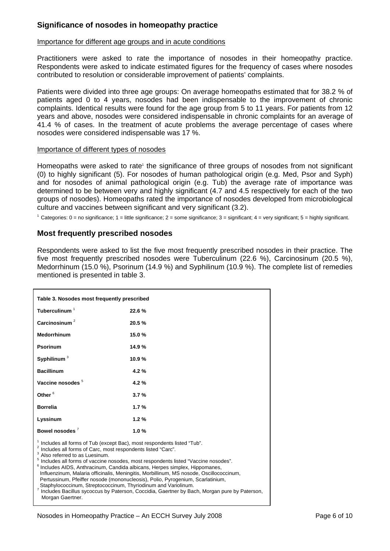## **Significance of nosodes in homeopathy practice**

## Importance for different age groups and in acute conditions

Practitioners were asked to rate the importance of nosodes in their homeopathy practice. Respondents were asked to indicate estimated figures for the frequency of cases where nosodes contributed to resolution or considerable improvement of patients' complaints.

Patients were divided into three age groups: On average homeopaths estimated that for 38.2 % of patients aged 0 to 4 years, nosodes had been indispensable to the improvement of chronic complaints. Identical results were found for the age group from 5 to 11 years. For patients from 12 years and above, nosodes were considered indispensable in chronic complaints for an average of 41.4 % of cases. In the treatment of acute problems the average percentage of cases where nosodes were considered indispensable was 17 %.

## Importance of different types of nosodes

Homeopaths were asked to rate<sup>1</sup> the significance of three groups of nosodes from not significant (0) to highly significant (5). For nosodes of human pathological origin (e.g. Med, Psor and Syph) and for nosodes of animal pathological origin (e.g. Tub) the average rate of importance was determined to be between very and highly significant (4.7 and 4.5 respectively for each of the two groups of nosodes). Homeopaths rated the importance of nosodes developed from microbiological culture and vaccines between significant and very significant (3.2).

<sup>1</sup> Categories:  $0 =$  no significance;  $1 =$  little significance;  $2 =$  some significance;  $3 =$  significant;  $4 =$  very significant;  $5 =$  highly significant.

## **Most frequently prescribed nosodes**

Respondents were asked to list the five most frequently prescribed nosodes in their practice. The five most frequently prescribed nosodes were Tuberculinum (22.6 %), Carcinosinum (20.5 %), Medorrhinum (15.0 %), Psorinum (14.9 %) and Syphilinum (10.9 %). The complete list of remedies mentioned is presented in table 3.

| Table 3. Nosodes most frequently prescribed                                                                                                                                                                                                                                                                                                                                                                                                                                                                                                                                                                                                                                                                                                                           |        |  |  |
|-----------------------------------------------------------------------------------------------------------------------------------------------------------------------------------------------------------------------------------------------------------------------------------------------------------------------------------------------------------------------------------------------------------------------------------------------------------------------------------------------------------------------------------------------------------------------------------------------------------------------------------------------------------------------------------------------------------------------------------------------------------------------|--------|--|--|
| Tuberculinum <sup>1</sup>                                                                                                                                                                                                                                                                                                                                                                                                                                                                                                                                                                                                                                                                                                                                             | 22.6 % |  |  |
| Carcinosinum $2$                                                                                                                                                                                                                                                                                                                                                                                                                                                                                                                                                                                                                                                                                                                                                      | 20.5%  |  |  |
| <b>Medorrhinum</b>                                                                                                                                                                                                                                                                                                                                                                                                                                                                                                                                                                                                                                                                                                                                                    | 15.0%  |  |  |
| <b>Psorinum</b>                                                                                                                                                                                                                                                                                                                                                                                                                                                                                                                                                                                                                                                                                                                                                       | 14.9%  |  |  |
| Syphilinum <sup>3</sup>                                                                                                                                                                                                                                                                                                                                                                                                                                                                                                                                                                                                                                                                                                                                               | 10.9%  |  |  |
| <b>Bacillinum</b>                                                                                                                                                                                                                                                                                                                                                                                                                                                                                                                                                                                                                                                                                                                                                     | 4.2%   |  |  |
| Vaccine nosodes <sup>5</sup>                                                                                                                                                                                                                                                                                                                                                                                                                                                                                                                                                                                                                                                                                                                                          | 4.2%   |  |  |
| Other <sup>6</sup>                                                                                                                                                                                                                                                                                                                                                                                                                                                                                                                                                                                                                                                                                                                                                    | 3.7%   |  |  |
| <b>Borrelia</b>                                                                                                                                                                                                                                                                                                                                                                                                                                                                                                                                                                                                                                                                                                                                                       | 1.7%   |  |  |
| Lyssinum                                                                                                                                                                                                                                                                                                                                                                                                                                                                                                                                                                                                                                                                                                                                                              | 1.2%   |  |  |
| Bowel nosodes <sup>7</sup>                                                                                                                                                                                                                                                                                                                                                                                                                                                                                                                                                                                                                                                                                                                                            | 1.0%   |  |  |
| <sup>1</sup> Includes all forms of Tub (except Bac), most respondents listed "Tub".<br>$2$ Includes all forms of Carc, most respondents listed "Carc".<br><sup>3</sup> Also referred to as Luesinum.<br><sup>5</sup> Includes all forms of vaccine nosodes, most respondents listed "Vaccine nosodes".<br><sup>6</sup> Includes AIDS, Anthracinum, Candida albicans, Herpes simplex, Hippomanes,<br>Influenzinum, Malaria officinalis, Meningitis, Morbillinum, MS nosode, Oscillococcinum,<br>Pertussinum, Pfeiffer nosode (mononucleosis), Polio, Pyrogenium, Scarlatinium,<br>Staphylococcinum, Streptococcinum, Thyriodinum and Variolinum.<br>7 Includes Bacillus sycoccus by Paterson, Coccidia, Gaertner by Bach, Morgan pure by Paterson,<br>Morgan Gaertner. |        |  |  |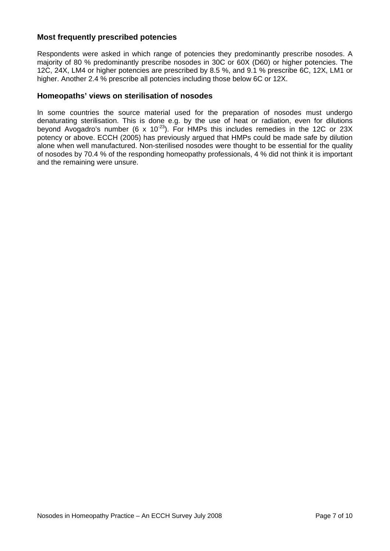## **Most frequently prescribed potencies**

Respondents were asked in which range of potencies they predominantly prescribe nosodes. A majority of 80 % predominantly prescribe nosodes in 30C or 60X (D60) or higher potencies. The 12C, 24X, LM4 or higher potencies are prescribed by 8.5 %, and 9.1 % prescribe 6C, 12X, LM1 or higher. Another 2.4 % prescribe all potencies including those below 6C or 12X.

## **Homeopaths' views on sterilisation of nosodes**

In some countries the source material used for the preparation of nosodes must undergo denaturating sterilisation. This is done e.g. by the use of heat or radiation, even for dilutions beyond Avogadro's number (6 x 10<sup>-23</sup>). For HMPs this includes remedies in the 12C or 23X potency or above. ECCH (2005) has previously argued that HMPs could be made safe by dilution alone when well manufactured. Non-sterilised nosodes were thought to be essential for the quality of nosodes by 70.4 % of the responding homeopathy professionals, 4 % did not think it is important and the remaining were unsure.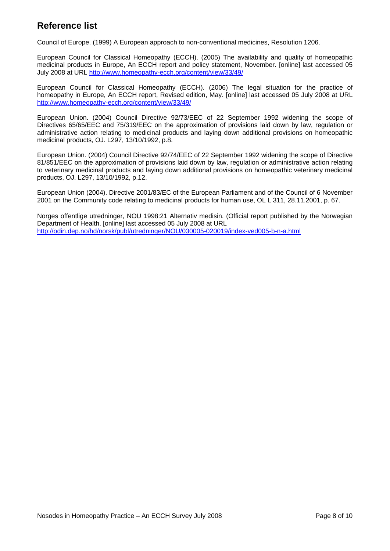# **Reference list**

Council of Europe. (1999) A European approach to non-conventional medicines, Resolution 1206.

European Council for Classical Homeopathy (ECCH). (2005) The availability and quality of homeopathic medicinal products in Europe, An ECCH report and policy statement, November. [online] last accessed 05 July 2008 at URL<http://www.homeopathy-ecch.org/content/view/33/49/>

European Council for Classical Homeopathy (ECCH). (2006) The legal situation for the practice of homeopathy in Europe, An ECCH report, Revised edition, May. [online] last accessed 05 July 2008 at URL <http://www.homeopathy-ecch.org/content/view/33/49/>

European Union. (2004) Council Directive 92/73/EEC of 22 September 1992 widening the scope of Directives 65/65/EEC and 75/319/EEC on the approximation of provisions laid down by law, regulation or administrative action relating to medicinal products and laying down additional provisions on homeopathic medicinal products, OJ. L297, 13/10/1992, p.8.

European Union. (2004) Council Directive 92/74/EEC of 22 September 1992 widening the scope of Directive 81/851/EEC on the approximation of provisions laid down by law, regulation or administrative action relating to veterinary medicinal products and laying down additional provisions on homeopathic veterinary medicinal products, OJ. L297, 13/10/1992, p.12.

European Union (2004). Directive 2001/83/EC of the European Parliament and of the Council of 6 November 2001 on the Community code relating to medicinal products for human use, OL L 311, 28.11.2001, p. 67.

Norges offentlige utredninger, NOU 1998:21 Alternativ medisin. (Official report published by the Norwegian Department of Health. [online] last accessed 05 July 2008 at URL <http://odin.dep.no/hd/norsk/publ/utredninger/NOU/030005-020019/index-ved005-b-n-a.html>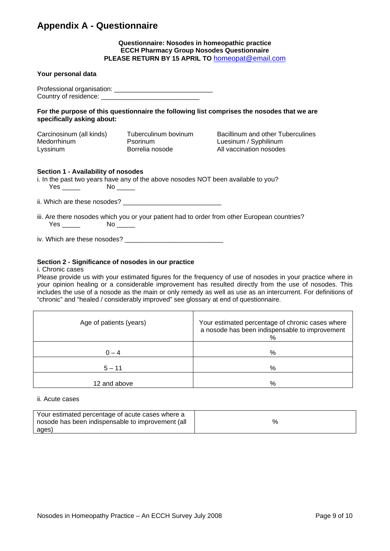# **Appendix A - Questionnaire**

## **Questionnaire: Nosodes in homeopathic practice ECCH Pharmacy Group Nosodes Questionnaire PLEASE RETURN BY 15 APRIL TO** [homeopat@email.com](mailto:homeopat@email.com)

| Your personal data                                                        |                                                                                   |                                                                                              |
|---------------------------------------------------------------------------|-----------------------------------------------------------------------------------|----------------------------------------------------------------------------------------------|
|                                                                           |                                                                                   |                                                                                              |
| specifically asking about:                                                |                                                                                   | For the purpose of this questionnaire the following list comprises the nosodes that we are   |
| Carcinosinum (all kinds) Tuberculinum bovinum<br>Medorrhinum<br>Lyssinum  | Psorinum<br>Borrelia nosode                                                       | Bacillinum and other Tuberculines<br>Luesinum / Syphilinum<br>All vaccination nosodes        |
| Section 1 - Availability of nosodes<br>$Yes \_\_\_\_\_\$ No $\_\_\_\_\_\$ | i. In the past two years have any of the above nosodes NOT been available to you? |                                                                                              |
|                                                                           |                                                                                   |                                                                                              |
| $Yes \_\_$                                                                |                                                                                   | iii. Are there nosodes which you or your patient had to order from other European countries? |
|                                                                           |                                                                                   |                                                                                              |

## **Section 2 - Significance of nosodes in our practice**

#### i. Chronic cases

Please provide us with your estimated figures for the frequency of use of nosodes in your practice where in your opinion healing or a considerable improvement has resulted directly from the use of nosodes. This includes the use of a nosode as the main or only remedy as well as use as an intercurrent. For definitions of "chronic" and "healed / considerably improved" see glossary at end of questionnaire.

| Age of patients (years) | Your estimated percentage of chronic cases where<br>a nosode has been indispensable to improvement<br>% |
|-------------------------|---------------------------------------------------------------------------------------------------------|
| $0 - 4$                 | %                                                                                                       |
| $5 - 11$                | %                                                                                                       |
| 12 and above            | %                                                                                                       |

#### ii. Acute cases

| Your estimated percentage of acute cases where a  |      |
|---------------------------------------------------|------|
| nosode has been indispensable to improvement (all | $\%$ |
| ages)                                             |      |